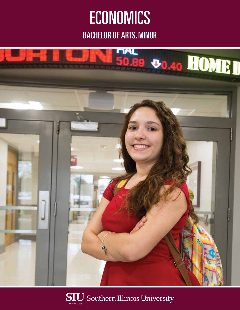# **ECONOMICS**

BACHELOR OF ARTS, MINOR